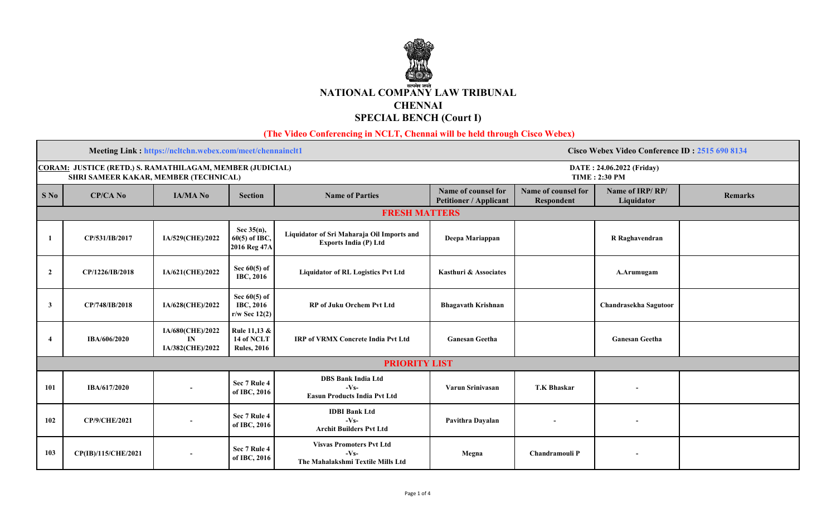

 **(The Video Conferencing in NCLT, Chennai will be held through Cisco Webex)** 

|                      |                                                                                                           | Meeting Link: https://ncltchn.webex.com/meet/chennainclt1 |                                                       |                                                                               | Cisco Webex Video Conference ID: 2515 690 8134       |                                   |                               |         |  |  |  |
|----------------------|-----------------------------------------------------------------------------------------------------------|-----------------------------------------------------------|-------------------------------------------------------|-------------------------------------------------------------------------------|------------------------------------------------------|-----------------------------------|-------------------------------|---------|--|--|--|
|                      | <b>CORAM: JUSTICE (RETD.) S. RAMATHILAGAM, MEMBER (JUDICIAL)</b><br>SHRI SAMEER KAKAR, MEMBER (TECHNICAL) |                                                           |                                                       |                                                                               | DATE: 24.06.2022 (Friday)<br><b>TIME: 2:30 PM</b>    |                                   |                               |         |  |  |  |
| $S$ No               | <b>CP/CA No</b>                                                                                           | <b>IA/MA No</b>                                           | <b>Section</b>                                        | <b>Name of Parties</b>                                                        | Name of counsel for<br><b>Petitioner / Applicant</b> | Name of counsel for<br>Respondent | Name of IRP/RP/<br>Liquidator | Remarks |  |  |  |
| <b>FRESH MATTERS</b> |                                                                                                           |                                                           |                                                       |                                                                               |                                                      |                                   |                               |         |  |  |  |
|                      | CP/531/IB/2017                                                                                            | IA/529(CHE)/2022                                          | Sec $35(n)$ ,<br>$60(5)$ of IBC,<br>2016 Reg 47A      | Liquidator of Sri Maharaja Oil Imports and<br><b>Exports India (P) Ltd</b>    | Deepa Mariappan                                      |                                   | R Raghavendran                |         |  |  |  |
| $\mathbf{2}$         | CP/1226/IB/2018                                                                                           | IA/621(CHE)/2022                                          | Sec $60(5)$ of<br><b>IBC, 2016</b>                    | <b>Liquidator of RL Logistics Pvt Ltd</b>                                     | Kasthuri & Associates                                |                                   | A.Arumugam                    |         |  |  |  |
| $\mathbf{3}$         | CP/748/IB/2018                                                                                            | IA/628(CHE)/2022                                          | Sec $60(5)$ of<br><b>IBC, 2016</b><br>$r/w$ Sec 12(2) | <b>RP</b> of Juku Orchem Pvt Ltd                                              | <b>Bhagavath Krishnan</b>                            |                                   | Chandrasekha Sagutoor         |         |  |  |  |
|                      | IBA/606/2020                                                                                              | IA/680(CHE)/2022<br>IN<br>IA/382(CHE)/2022                | Rule 11,13 &<br>14 of NCLT<br><b>Rules, 2016</b>      | <b>IRP of VRMX Concrete India Pvt Ltd</b>                                     | <b>Ganesan Geetha</b>                                |                                   | <b>Ganesan Geetha</b>         |         |  |  |  |
| <b>PRIORITY LIST</b> |                                                                                                           |                                                           |                                                       |                                                                               |                                                      |                                   |                               |         |  |  |  |
| 101                  | IBA/617/2020                                                                                              |                                                           | Sec 7 Rule 4<br>of IBC, 2016                          | <b>DBS Bank India Ltd</b><br>$-Vs$<br><b>Easun Products India Pvt Ltd</b>     | Varun Srinivasan                                     | <b>T.K Bhaskar</b>                | $\overline{\phantom{a}}$      |         |  |  |  |
| 102                  | <b>CP/9/CHE/2021</b>                                                                                      |                                                           | Sec 7 Rule 4<br>of IBC, 2016                          | <b>IDBI</b> Bank Ltd<br>$-VS$<br><b>Archit Builders Pvt Ltd</b>               | Pavithra Dayalan                                     | $\overline{\phantom{a}}$          | $\overline{\phantom{a}}$      |         |  |  |  |
| 103                  | CP(IB)/115/CHE/2021                                                                                       | $\blacksquare$                                            | Sec 7 Rule 4<br>of IBC, 2016                          | <b>Visvas Promoters Pvt Ltd</b><br>$-VS$<br>The Mahalakshmi Textile Mills Ltd | Megna                                                | <b>Chandramouli P</b>             | $\overline{\phantom{a}}$      |         |  |  |  |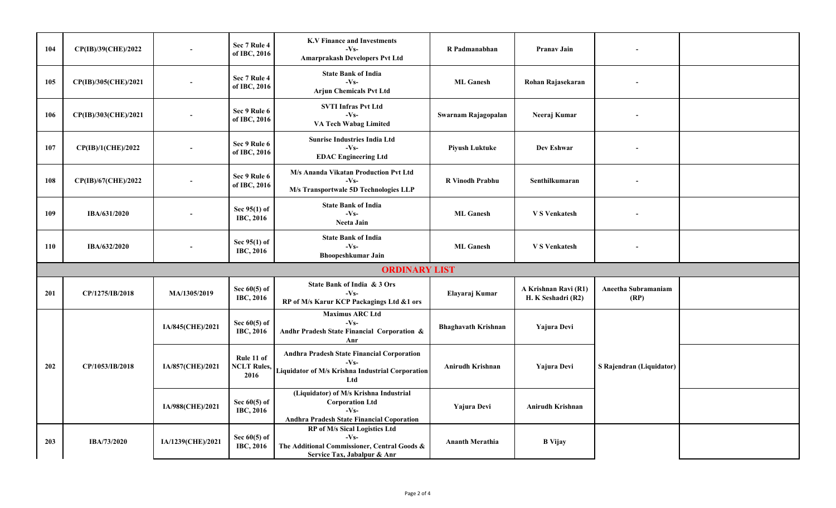| 104 | CP(IB)/39(CHE)/2022  |                   | Sec 7 Rule 4<br>of IBC, 2016             | <b>K.V Finance and Investments</b><br>$-VS$<br><b>Amarprakash Developers Pvt Ltd</b>                                          | R Padmanabhan              | <b>Pranav Jain</b>                         |                             |  |
|-----|----------------------|-------------------|------------------------------------------|-------------------------------------------------------------------------------------------------------------------------------|----------------------------|--------------------------------------------|-----------------------------|--|
| 105 | CP(IB)/305(CHE)/2021 |                   | Sec 7 Rule 4<br>of IBC, 2016             | <b>State Bank of India</b><br>$-Vs$<br><b>Arjun Chemicals Pvt Ltd</b>                                                         | <b>ML</b> Ganesh           | Rohan Rajasekaran                          |                             |  |
| 106 | CP(IB)/303(CHE)/2021 |                   | Sec 9 Rule 6<br>of IBC, 2016             | <b>SVTI Infras Pvt Ltd</b><br>$-Vs$<br>VA Tech Wabag Limited                                                                  | Swarnam Rajagopalan        | Neeraj Kumar                               |                             |  |
| 107 | CP(IB)/1(CHE)/2022   |                   | Sec 9 Rule 6<br>of IBC, 2016             | <b>Sunrise Industries India Ltd</b><br>$-Vs-$<br><b>EDAC Engineering Ltd</b>                                                  | <b>Piyush Luktuke</b>      | Dev Eshwar                                 |                             |  |
| 108 | CP(IB)/67(CHE)/2022  |                   | Sec 9 Rule 6<br>of IBC, 2016             | M/s Ananda Vikatan Production Pvt Ltd<br>$-Vs$<br>M/s Transportwale 5D Technologies LLP                                       | <b>R</b> Vinodh Prabhu     | Senthilkumaran                             |                             |  |
| 109 | IBA/631/2020         |                   | Sec 95(1) of<br><b>IBC, 2016</b>         | <b>State Bank of India</b><br>$-VS$<br>Neeta Jain                                                                             | <b>ML</b> Ganesh           | <b>VS</b> Venkatesh                        |                             |  |
| 110 | IBA/632/2020         |                   | Sec 95(1) of<br>IBC, 2016                | <b>State Bank of India</b><br>$-Vs$<br><b>Bhoopeshkumar Jain</b>                                                              | <b>ML</b> Ganesh           | <b>V S Venkatesh</b>                       |                             |  |
|     |                      |                   |                                          | <b>ORDINARY LIST</b>                                                                                                          |                            |                                            |                             |  |
| 201 | CP/1275/IB/2018      | MA/1305/2019      | Sec $60(5)$ of<br><b>IBC, 2016</b>       | State Bank of India & 3 Ors<br>$-Vs$<br>RP of M/s Karur KCP Packagings Ltd &1 ors                                             | Elayaraj Kumar             | A Krishnan Ravi (R1)<br>H. K Seshadri (R2) | Aneetha Subramaniam<br>(RP) |  |
|     |                      | IA/845(CHE)/2021  | Sec $60(5)$ of<br>IBC, 2016              | <b>Maximus ARC Ltd</b><br>$-Vs$<br>Andhr Pradesh State Financial Corporation &<br>Anr                                         | <b>Bhaghavath Krishnan</b> | <b>Yajura Devi</b>                         |                             |  |
| 202 | CP/1053/IB/2018      | IA/857(CHE)/2021  | Rule 11 of<br><b>NCLT Rules,</b><br>2016 | <b>Andhra Pradesh State Financial Corporation</b><br>$-Vs$<br>Liquidator of M/s Krishna Industrial Corporation<br>Ltd         | Anirudh Krishnan           | Yajura Devi                                | S Rajendran (Liquidator)    |  |
|     |                      | IA/988(CHE)/2021  | Sec $60(5)$ of<br>IBC, 2016              | (Liquidator) of M/s Krishna Industrial<br><b>Corporation Ltd</b><br>$-Vs$<br><b>Andhra Pradesh State Financial Coporation</b> | Yajura Devi                | <b>Anirudh Krishnan</b>                    |                             |  |
| 203 | IBA/73/2020          | IA/1239(CHE)/2021 | Sec $60(5)$ of<br>IBC, 2016              | RP of M/s Sical Logistics Ltd<br>$-VS$<br>The Additional Commissioner, Central Goods &<br>Service Tax, Jabalpur & Anr         | <b>Ananth Merathia</b>     | <b>B</b> Vijay                             |                             |  |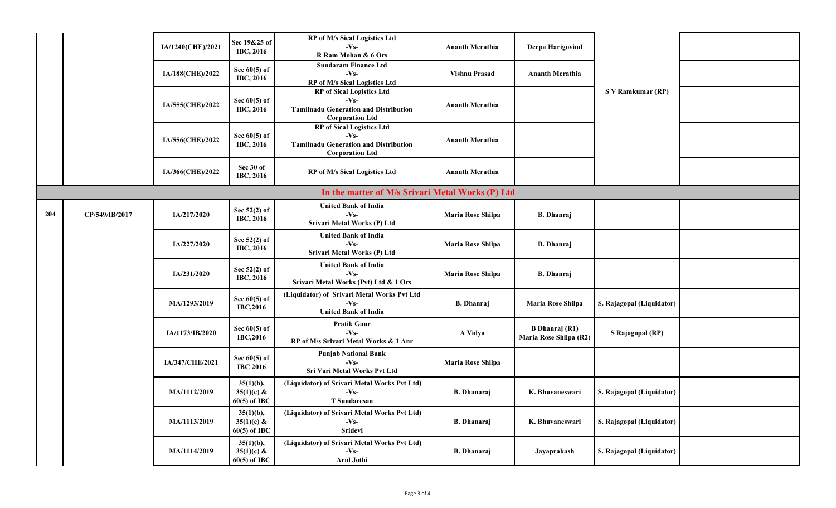|     |                | IA/1240(CHE)/2021 | Sec 19&25 of<br><b>IBC, 2016</b>               | <b>RP</b> of M/s Sical Logistics Ltd<br>$-Vs$<br>R Ram Mohan & 6 Ors                                                | <b>Ananth Merathia</b> | Deepa Harigovind                                |                           |  |
|-----|----------------|-------------------|------------------------------------------------|---------------------------------------------------------------------------------------------------------------------|------------------------|-------------------------------------------------|---------------------------|--|
|     |                | IA/188(CHE)/2022  | Sec $60(5)$ of<br><b>IBC, 2016</b>             | <b>Sundaram Finance Ltd</b><br>$-Vs-$<br>RP of M/s Sical Logistics Ltd                                              | <b>Vishnu Prasad</b>   | <b>Ananth Merathia</b>                          |                           |  |
|     |                | IA/555(CHE)/2022  | Sec $60(5)$ of<br><b>IBC, 2016</b>             | <b>RP</b> of Sical Logistics Ltd<br>$-Vs$<br><b>Tamilnadu Generation and Distribution</b><br><b>Corporation Ltd</b> | <b>Ananth Merathia</b> |                                                 | S V Ramkumar (RP)         |  |
|     |                | IA/556(CHE)/2022  | Sec $60(5)$ of<br><b>IBC, 2016</b>             | <b>RP</b> of Sical Logistics Ltd<br>$-Vs$<br><b>Tamilnadu Generation and Distribution</b><br><b>Corporation Ltd</b> | <b>Ananth Merathia</b> |                                                 |                           |  |
|     |                | IA/366(CHE)/2022  | Sec 30 of<br><b>IBC, 2016</b>                  | RP of M/s Sical Logistics Ltd                                                                                       | <b>Ananth Merathia</b> |                                                 |                           |  |
|     |                |                   |                                                | In the matter of M/s Srivari Metal Works (P) Ltd                                                                    |                        |                                                 |                           |  |
| 204 | CP/549/IB/2017 | IA/217/2020       | Sec 52(2) of<br><b>IBC, 2016</b>               | <b>United Bank of India</b><br>$-Vs$<br>Srivari Metal Works (P) Ltd                                                 | Maria Rose Shilpa      | <b>B.</b> Dhanraj                               |                           |  |
|     |                | IA/227/2020       | Sec $52(2)$ of<br><b>IBC, 2016</b>             | <b>United Bank of India</b><br>$-Vs$<br>Srivari Metal Works (P) Ltd                                                 | Maria Rose Shilpa      | <b>B.</b> Dhanraj                               |                           |  |
|     |                | IA/231/2020       | Sec 52(2) of<br><b>IBC, 2016</b>               | <b>United Bank of India</b><br>$-Vs$<br>Srivari Metal Works (Pvt) Ltd & 1 Ors                                       | Maria Rose Shilpa      | <b>B.</b> Dhanraj                               |                           |  |
|     |                | MA/1293/2019      | Sec $60(5)$ of<br>IBC,2016                     | (Liquidator) of Srivari Metal Works Pvt Ltd<br>$-Vs$<br><b>United Bank of India</b>                                 | <b>B.</b> Dhanraj      | Maria Rose Shilpa                               | S. Rajagopal (Liquidator) |  |
|     |                | IA/1173/IB/2020   | Sec $60(5)$ of<br><b>IBC,2016</b>              | <b>Pratik Gaur</b><br>$-VS$<br>RP of M/s Srivari Metal Works & 1 Anr                                                | A Vidya                | <b>B</b> Dhanraj (R1)<br>Maria Rose Shilpa (R2) | S Rajagopal (RP)          |  |
|     |                | IA/347/CHE/2021   | Sec $60(5)$ of<br><b>IBC 2016</b>              | <b>Punjab National Bank</b><br>$-Vs-$<br>Sri Vari Metal Works Pvt Ltd                                               | Maria Rose Shilpa      |                                                 |                           |  |
|     |                | MA/1112/2019      | $35(1)(b)$ ,<br>$35(1)(c)$ &<br>$60(5)$ of IBC | (Liquidator) of Srivari Metal Works Pvt Ltd)<br>$-Vs-$<br>T Sundaresan                                              | <b>B.</b> Dhanaraj     | K. Bhuvaneswari                                 | S. Rajagopal (Liquidator) |  |
|     |                | MA/1113/2019      | $35(1)(b)$ ,<br>$35(1)(c)$ &<br>$60(5)$ of IBC | (Liquidator) of Srivari Metal Works Pvt Ltd)<br>$-Vs$<br>Sridevi                                                    | <b>B.</b> Dhanaraj     | K. Bhuvaneswari                                 | S. Rajagopal (Liquidator) |  |
|     |                | MA/1114/2019      | $35(1)(b)$ ,<br>$35(1)(c)$ &<br>$60(5)$ of IBC | (Liquidator) of Srivari Metal Works Pvt Ltd)<br>$-Vs$<br>Arul Jothi                                                 | <b>B.</b> Dhanaraj     | Jayaprakash                                     | S. Rajagopal (Liquidator) |  |